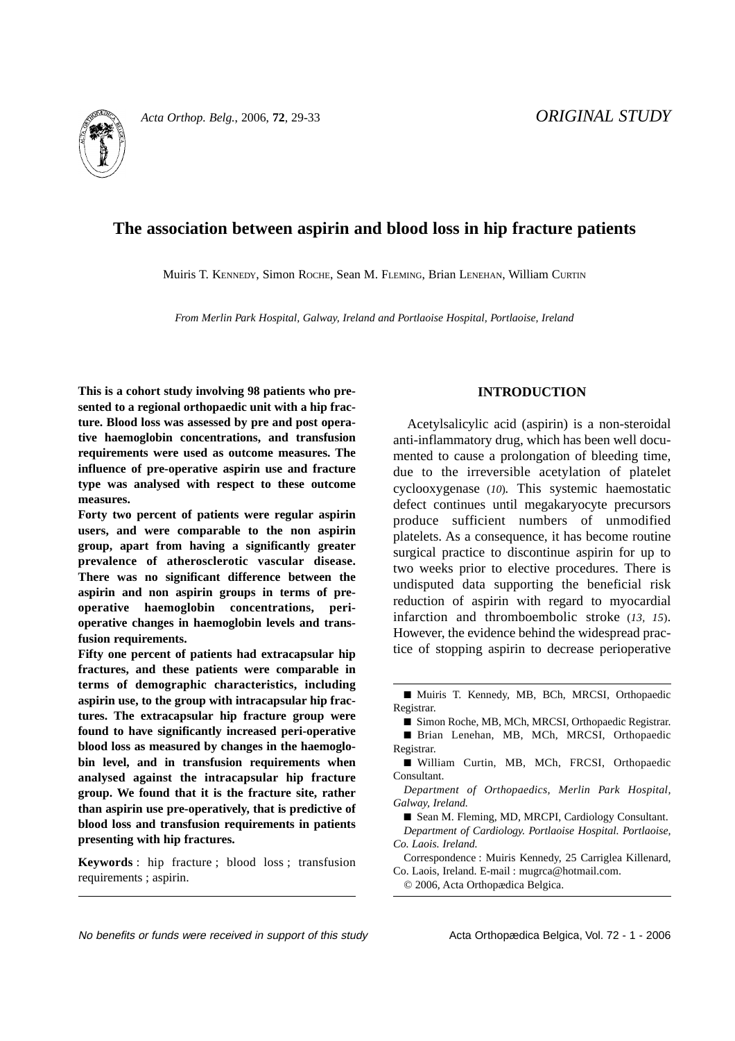

# **The association between aspirin and blood loss in hip fracture patients**

Muiris T. KENNEDY, Simon ROCHE, Sean M. FLEMING, Brian LENEHAN, William CURTIN

*From Merlin Park Hospital, Galway, Ireland and Portlaoise Hospital, Portlaoise, Ireland*

**This is a cohort study involving 98 patients who presented to a regional orthopaedic unit with a hip fracture. Blood loss was assessed by pre and post operative haemoglobin concentrations, and transfusion requirements were used as outcome measures. The influence of pre-operative aspirin use and fracture type was analysed with respect to these outcome measures.**

**Forty two percent of patients were regular aspirin users, and were comparable to the non aspirin group, apart from having a significantly greater prevalence of atherosclerotic vascular disease. There was no significant difference between the aspirin and non aspirin groups in terms of preoperative haemoglobin concentrations, perioperative changes in haemoglobin levels and transfusion requirements.**

**Fifty one percent of patients had extracapsular hip fractures, and these patients were comparable in terms of demographic characteristics, including aspirin use, to the group with intracapsular hip fractures. The extracapsular hip fracture group were found to have significantly increased peri-operative blood loss as measured by changes in the haemoglobin level, and in transfusion requirements when analysed against the intracapsular hip fracture group. We found that it is the fracture site, rather than aspirin use pre-operatively, that is predictive of blood loss and transfusion requirements in patients presenting with hip fractures.**

**Keywords** : hip fracture ; blood loss ; transfusion requirements ; aspirin.

## **INTRODUCTION**

Acetylsalicylic acid (aspirin) is a non-steroidal anti-inflammatory drug, which has been well documented to cause a prolongation of bleeding time, due to the irreversible acetylation of platelet cyclooxygenase (*10*)*.* This systemic haemostatic defect continues until megakaryocyte precursors produce sufficient numbers of unmodified platelets. As a consequence, it has become routine surgical practice to discontinue aspirin for up to two weeks prior to elective procedures. There is undisputed data supporting the beneficial risk reduction of aspirin with regard to myocardial infarction and thromboembolic stroke (*13, 15*). However, the evidence behind the widespread practice of stopping aspirin to decrease perioperative

*Department of Orthopaedics, Merlin Park Hospital, Galway, Ireland.*

Correspondence : Muiris Kennedy, 25 Carriglea Killenard, Co. Laois, Ireland. E-mail : mugrca@hotmail.com.

© 2006, Acta Orthopædica Belgica.

No benefits or funds were received in support of this study example Acta Orthopædica Belgica, Vol. 72 - 1 - 2006

<sup>■</sup> Muiris T. Kennedy, MB, BCh, MRCSI, Orthopaedic Registrar.

<sup>■</sup> Simon Roche, MB, MCh, MRCSI, Orthopaedic Registrar.

<sup>■</sup> Brian Lenehan, MB, MCh, MRCSI, Orthopaedic Registrar.

<sup>■</sup> William Curtin, MB, MCh, FRCSI, Orthopaedic Consultant.

<sup>■</sup> Sean M. Fleming, MD, MRCPI, Cardiology Consultant. *Department of Cardiology. Portlaoise Hospital. Portlaoise, Co. Laois. Ireland.*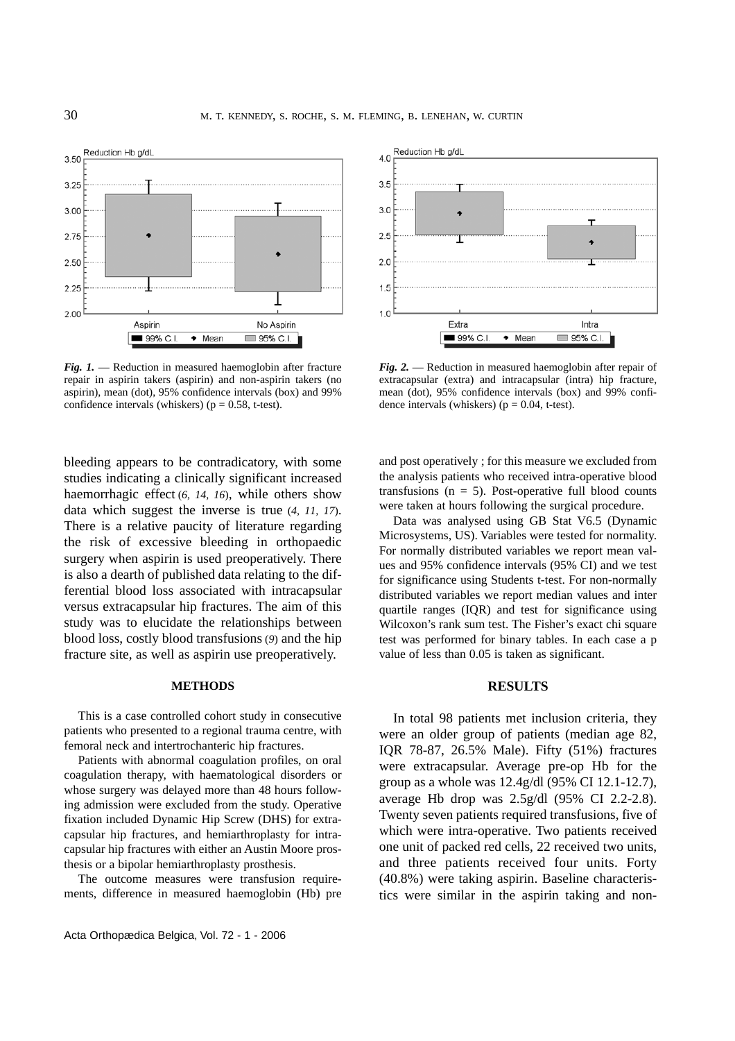

*Fig. 1.* — Reduction in measured haemoglobin after fracture repair in aspirin takers (aspirin) and non-aspirin takers (no aspirin), mean (dot), 95% confidence intervals (box) and 99% confidence intervals (whiskers) ( $p = 0.58$ , t-test).

bleeding appears to be contradicatory, with some studies indicating a clinically significant increased haemorrhagic effect (*6, 14, 16*), while others show data which suggest the inverse is true (*4, 11, 17*). There is a relative paucity of literature regarding the risk of excessive bleeding in orthopaedic surgery when aspirin is used preoperatively. There is also a dearth of published data relating to the differential blood loss associated with intracapsular versus extracapsular hip fractures. The aim of this study was to elucidate the relationships between blood loss, costly blood transfusions (*9*) and the hip fracture site, as well as aspirin use preoperatively.

#### **METHODS**

This is a case controlled cohort study in consecutive patients who presented to a regional trauma centre, with femoral neck and intertrochanteric hip fractures.

Patients with abnormal coagulation profiles, on oral coagulation therapy, with haematological disorders or whose surgery was delayed more than 48 hours following admission were excluded from the study. Operative fixation included Dynamic Hip Screw (DHS) for extracapsular hip fractures, and hemiarthroplasty for intracapsular hip fractures with either an Austin Moore prosthesis or a bipolar hemiarthroplasty prosthesis.

The outcome measures were transfusion requirements, difference in measured haemoglobin (Hb) pre



*Fig. 2.* — Reduction in measured haemoglobin after repair of extracapsular (extra) and intracapsular (intra) hip fracture, mean (dot), 95% confidence intervals (box) and 99% confidence intervals (whiskers) ( $p = 0.04$ , t-test).

and post operatively ; for this measure we excluded from the analysis patients who received intra-operative blood transfusions ( $n = 5$ ). Post-operative full blood counts were taken at hours following the surgical procedure.

Data was analysed using GB Stat V6.5 (Dynamic Microsystems, US). Variables were tested for normality. For normally distributed variables we report mean values and 95% confidence intervals (95% CI) and we test for significance using Students t-test. For non-normally distributed variables we report median values and inter quartile ranges (IQR) and test for significance using Wilcoxon's rank sum test. The Fisher's exact chi square test was performed for binary tables. In each case a p value of less than 0.05 is taken as significant.

## **RESULTS**

In total 98 patients met inclusion criteria, they were an older group of patients (median age 82, IQR 78-87, 26.5% Male). Fifty (51%) fractures were extracapsular. Average pre-op Hb for the group as a whole was 12.4g/dl (95% CI 12.1-12.7), average Hb drop was 2.5g/dl (95% CI 2.2-2.8). Twenty seven patients required transfusions, five of which were intra-operative. Two patients received one unit of packed red cells, 22 received two units, and three patients received four units. Forty (40.8%) were taking aspirin. Baseline characteristics were similar in the aspirin taking and non-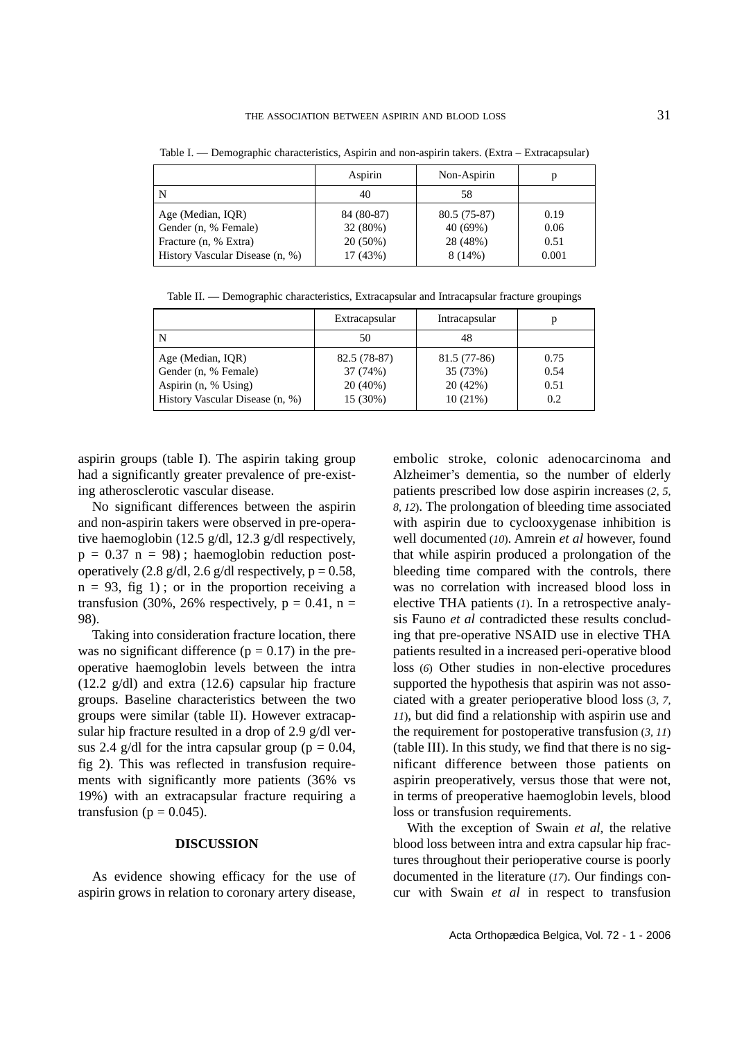|                                 | Aspirin    | Non-Aspirin   | р     |
|---------------------------------|------------|---------------|-------|
| N                               | 40         | 58            |       |
| Age (Median, IQR)               | 84 (80-87) | $80.5(75-87)$ | 0.19  |
| Gender (n, % Female)            | 32 (80%)   | 40 (69%)      | 0.06  |
| Fracture (n, % Extra)           | $20(50\%)$ | 28 (48%)      | 0.51  |
| History Vascular Disease (n, %) | 17(43%)    | 8(14%)        | 0.001 |

Table I. — Demographic characteristics, Aspirin and non-aspirin takers. (Extra – Extracapsular)

Table II. — Demographic characteristics, Extracapsular and Intracapsular fracture groupings

|                                 | Extracapsular | Intracapsular |      |
|---------------------------------|---------------|---------------|------|
| N                               | 50            | 48            |      |
| Age (Median, IQR)               | 82.5 (78-87)  | 81.5 (77-86)  | 0.75 |
| Gender (n, % Female)            | 37 (74%)      | 35 (73%)      | 0.54 |
| Aspirin (n, % Using)            | 20(40%)       | 20 (42%)      | 0.51 |
| History Vascular Disease (n, %) | 15 (30%)      | 10(21%)       | 0.2  |

aspirin groups (table I). The aspirin taking group had a significantly greater prevalence of pre-existing atherosclerotic vascular disease.

No significant differences between the aspirin and non-aspirin takers were observed in pre-operative haemoglobin (12.5 g/dl, 12.3 g/dl respectively,  $p = 0.37$  n = 98); haemoglobin reduction postoperatively  $(2.8 \text{ g/dl}, 2.6 \text{ g/dl}$  respectively,  $p = 0.58$ ,  $n = 93$ , fig 1); or in the proportion receiving a transfusion (30%, 26% respectively,  $p = 0.41$ ,  $n =$ 98).

Taking into consideration fracture location, there was no significant difference ( $p = 0.17$ ) in the preoperative haemoglobin levels between the intra (12.2 g/dl) and extra (12.6) capsular hip fracture groups. Baseline characteristics between the two groups were similar (table II). However extracapsular hip fracture resulted in a drop of 2.9 g/dl versus 2.4 g/dl for the intra capsular group ( $p = 0.04$ , fig 2). This was reflected in transfusion requirements with significantly more patients (36% vs 19%) with an extracapsular fracture requiring a transfusion ( $p = 0.045$ ).

## **DISCUSSION**

As evidence showing efficacy for the use of aspirin grows in relation to coronary artery disease,

embolic stroke, colonic adenocarcinoma and Alzheimer's dementia, so the number of elderly patients prescribed low dose aspirin increases (*2, 5, 8, 12*). The prolongation of bleeding time associated with aspirin due to cyclooxygenase inhibition is well documented (*10*). Amrein *et al* however, found that while aspirin produced a prolongation of the bleeding time compared with the controls, there was no correlation with increased blood loss in elective THA patients (*1*). In a retrospective analysis Fauno *et al* contradicted these results concluding that pre-operative NSAID use in elective THA patients resulted in a increased peri-operative blood loss (*6*) Other studies in non-elective procedures supported the hypothesis that aspirin was not associated with a greater perioperative blood loss (*3, 7, 11*), but did find a relationship with aspirin use and the requirement for postoperative transfusion (*3, 11*) (table III). In this study, we find that there is no significant difference between those patients on aspirin preoperatively, versus those that were not, in terms of preoperative haemoglobin levels, blood loss or transfusion requirements.

With the exception of Swain *et al*, the relative blood loss between intra and extra capsular hip fractures throughout their perioperative course is poorly documented in the literature (*17*). Our findings concur with Swain *et al* in respect to transfusion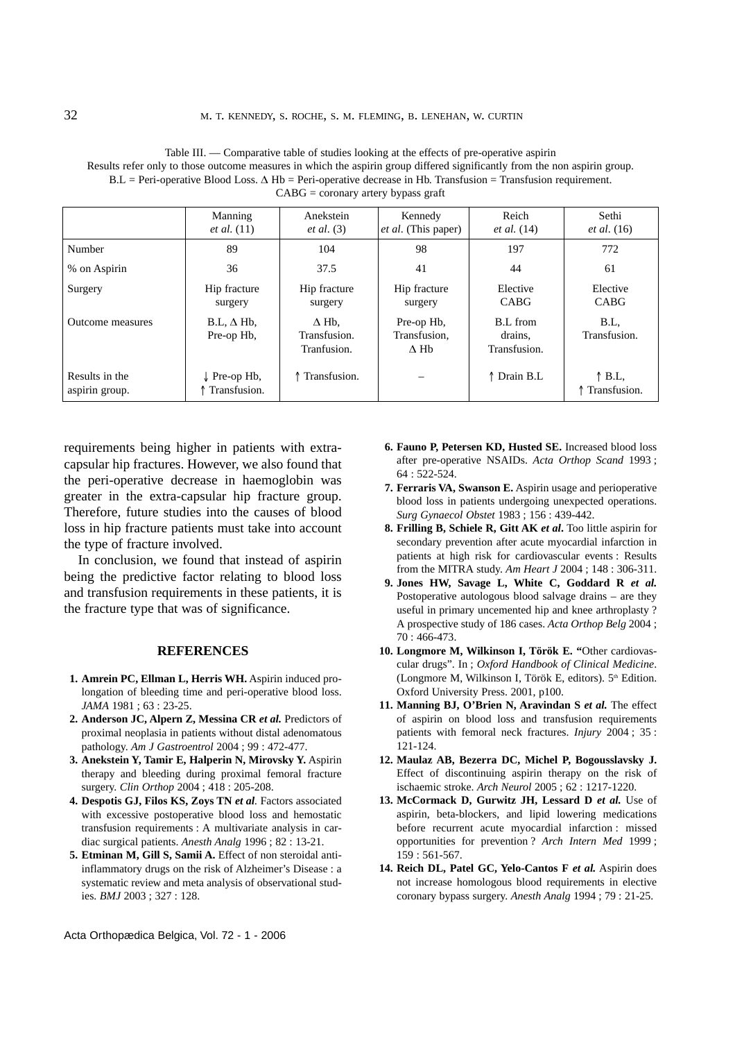|                                  | Manning<br><i>et al.</i> $(11)$         | Anekstein<br>et al. (3)                     | Kennedy<br>et al. (This paper)                         | Reich<br><i>et al.</i> (14)         | Sethi<br><i>et al.</i> (16)     |
|----------------------------------|-----------------------------------------|---------------------------------------------|--------------------------------------------------------|-------------------------------------|---------------------------------|
| Number                           | 89                                      | 104                                         | 98                                                     | 197                                 | 772                             |
| % on Aspirin                     | 36                                      | 37.5                                        | 41                                                     | 44                                  | 61                              |
| Surgery                          | Hip fracture<br>surgery                 | Hip fracture<br>surgery                     | Hip fracture<br>surgery                                | Elective<br>CABG                    | Elective<br>CABG                |
| Outcome measures                 | $B.L, \Delta Hb.$<br>Pre-op Hb.         | $\Delta$ Hb.<br>Transfusion.<br>Tranfusion. | Pre-op Hb.<br>Transfusion.<br>$\Lambda$ H <sub>b</sub> | B.L from<br>drains.<br>Transfusion. | B.L.<br>Transfusion.            |
| Results in the<br>aspirin group. | $\downarrow$ Pre-op Hb,<br>Transfusion. | ↑ Transfusion.                              |                                                        | ↑ Drain B.L                         | $\uparrow$ B.L.<br>Transfusion. |

Table III. — Comparative table of studies looking at the effects of pre-operative aspirin Results refer only to those outcome measures in which the aspirin group differed significantly from the non aspirin group.  $B.L = Peri$ -operative Blood Loss.  $\Delta Hb = Peri$ -operative decrease in Hb. Transfusion = Transfusion requirement.  $CABG = \text{coronary artery bypass}$ 

requirements being higher in patients with extracapsular hip fractures. However, we also found that the peri-operative decrease in haemoglobin was greater in the extra-capsular hip fracture group. Therefore, future studies into the causes of blood loss in hip fracture patients must take into account the type of fracture involved.

In conclusion, we found that instead of aspirin being the predictive factor relating to blood loss and transfusion requirements in these patients, it is the fracture type that was of significance.

#### **REFERENCES**

- **1. Amrein PC, Ellman L, Herris WH.** Aspirin induced prolongation of bleeding time and peri-operative blood loss. *JAMA* 1981 ; 63 : 23-25.
- **2. Anderson JC, Alpern Z, Messina CR** *et al.* Predictors of proximal neoplasia in patients without distal adenomatous pathology. *Am J Gastroentrol* 2004 ; 99 : 472-477.
- **3. Anekstein Y, Tamir E, Halperin N, Mirovsky Y.** Aspirin therapy and bleeding during proximal femoral fracture surgery. *Clin Orthop* 2004 ; 418 : 205-208.
- **4. Despotis GJ, Filos KS, Zoys TN** *et al.* Factors associated with excessive postoperative blood loss and hemostatic transfusion requirements : A multivariate analysis in cardiac surgical patients. *Anesth Analg* 1996 ; 82 : 13-21.
- **5. Etminan M, Gill S, Samii A.** Effect of non steroidal antiinflammatory drugs on the risk of Alzheimer's Disease : a systematic review and meta analysis of observational studies. *BMJ* 2003 ; 327 : 128.
- **6. Fauno P, Petersen KD, Husted SE.** Increased blood loss after pre-operative NSAIDs. *Acta Orthop Scand* 1993 ; 64 : 522-524.
- **7. Ferraris VA, Swanson E.** Aspirin usage and perioperative blood loss in patients undergoing unexpected operations. *Surg Gynaecol Obstet* 1983 ; 156 : 439-442.
- **8. Frilling B, Schiele R, Gitt AK** *et al***.** Too little aspirin for secondary prevention after acute myocardial infarction in patients at high risk for cardiovascular events : Results from the MITRA study. *Am Heart J* 2004 ; 148 : 306-311.
- **9. Jones HW, Savage L, White C, Goddard R** *et al.* Postoperative autologous blood salvage drains – are they useful in primary uncemented hip and knee arthroplasty ? A prospective study of 186 cases. *Acta Orthop Belg* 2004 ; 70 : 466-473.
- **10. Longmore M, Wilkinson I, Török E. "**Other cardiovascular drugs". In ; *Oxford Handbook of Clinical Medicine*. (Longmore M, Wilkinson I, Török E, editors). 5<sup>th</sup> Edition. Oxford University Press. 2001, p100.
- **11. Manning BJ, O'Brien N, Aravindan S** *et al.* The effect of aspirin on blood loss and transfusion requirements patients with femoral neck fractures. *Injury* 2004 ; 35 : 121-124.
- **12. Maulaz AB, Bezerra DC, Michel P, Bogousslavsky J.** Effect of discontinuing aspirin therapy on the risk of ischaemic stroke. *Arch Neurol* 2005 ; 62 : 1217-1220.
- **13. McCormack D, Gurwitz JH, Lessard D** *et al.* Use of aspirin, beta-blockers, and lipid lowering medications before recurrent acute myocardial infarction : missed opportunities for prevention ? *Arch Intern Med* 1999 ; 159 : 561-567.
- **14. Reich DL, Patel GC, Yelo-Cantos F** *et al.* Aspirin does not increase homologous blood requirements in elective coronary bypass surgery. *Anesth Analg* 1994 ; 79 : 21-25.

Acta Orthopædica Belgica, Vol. 72 - 1 - 2006